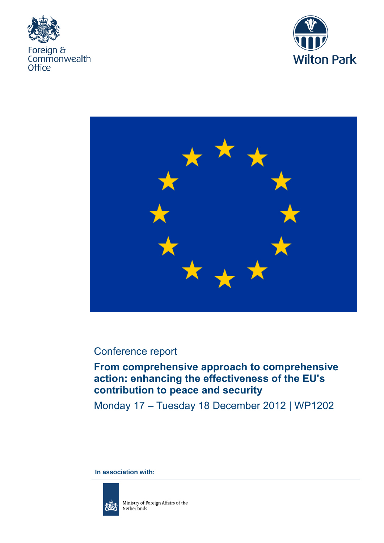





## Conference report

# **From comprehensive approach to comprehensive action: enhancing the effectiveness of the EU's contribution to peace and security**

Monday 17 – Tuesday 18 December 2012 | WP1202

**In association with:**

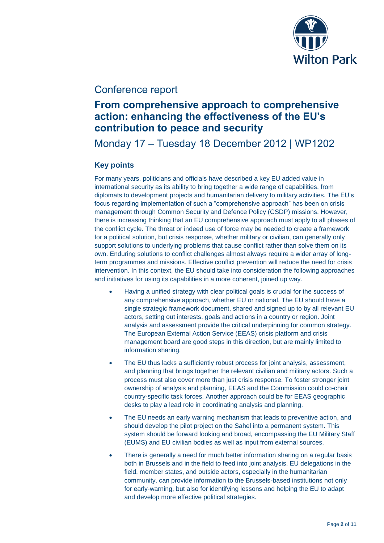

### Conference report

## **From comprehensive approach to comprehensive action: enhancing the effectiveness of the EU's contribution to peace and security**

Monday 17 – Tuesday 18 December 2012 | WP1202

### **Key points**

For many years, politicians and officials have described a key EU added value in international security as its ability to bring together a wide range of capabilities, from diplomats to development projects and humanitarian delivery to military activities. The EU's focus regarding implementation of such a "comprehensive approach" has been on crisis management through Common Security and Defence Policy (CSDP) missions. However, there is increasing thinking that an EU comprehensive approach must apply to all phases of the conflict cycle. The threat or indeed use of force may be needed to create a framework for a political solution, but crisis response, whether military or civilian, can generally only support solutions to underlying problems that cause conflict rather than solve them on its own. Enduring solutions to conflict challenges almost always require a wider array of longterm programmes and missions. Effective conflict prevention will reduce the need for crisis intervention. In this context, the EU should take into consideration the following approaches and initiatives for using its capabilities in a more coherent, joined up way.

- Having a unified strategy with clear political goals is crucial for the success of any comprehensive approach, whether EU or national. The EU should have a single strategic framework document, shared and signed up to by all relevant EU actors, setting out interests, goals and actions in a country or region. Joint analysis and assessment provide the critical underpinning for common strategy. The European External Action Service (EEAS) crisis platform and crisis management board are good steps in this direction, but are mainly limited to information sharing.
- The EU thus lacks a sufficiently robust process for joint analysis, assessment, and planning that brings together the relevant civilian and military actors. Such a process must also cover more than just crisis response. To foster stronger joint ownership of analysis and planning, EEAS and the Commission could co-chair country-specific task forces. Another approach could be for EEAS geographic desks to play a lead role in coordinating analysis and planning.
- The EU needs an early warning mechanism that leads to preventive action, and should develop the pilot project on the Sahel into a permanent system. This system should be forward looking and broad, encompassing the EU Military Staff (EUMS) and EU civilian bodies as well as input from external sources.
- There is generally a need for much better information sharing on a regular basis both in Brussels and in the field to feed into joint analysis. EU delegations in the field, member states, and outside actors, especially in the humanitarian community, can provide information to the Brussels-based institutions not only for early-warning, but also for identifying lessons and helping the EU to adapt and develop more effective political strategies.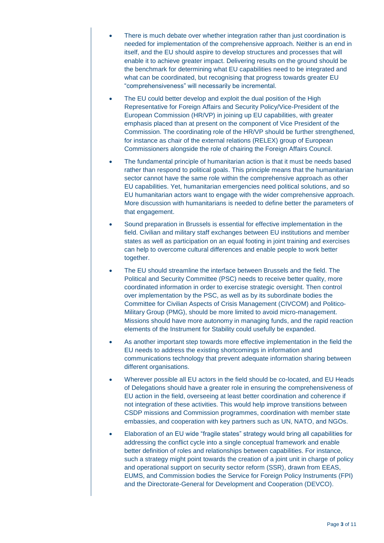- There is much debate over whether integration rather than just coordination is needed for implementation of the comprehensive approach. Neither is an end in itself, and the EU should aspire to develop structures and processes that will enable it to achieve greater impact. Delivering results on the ground should be the benchmark for determining what EU capabilities need to be integrated and what can be coordinated, but recognising that progress towards greater EU "comprehensiveness" will necessarily be incremental.
- The EU could better develop and exploit the dual position of the High Representative for Foreign Affairs and Security Policy/Vice-President of the European Commission (HR/VP) in joining up EU capabilities, with greater emphasis placed than at present on the component of Vice President of the Commission. The coordinating role of the HR/VP should be further strengthened, for instance as chair of the external relations (RELEX) group of European Commissioners alongside the role of chairing the Foreign Affairs Council.
- The fundamental principle of humanitarian action is that it must be needs based rather than respond to political goals. This principle means that the humanitarian sector cannot have the same role within the comprehensive approach as other EU capabilities. Yet, humanitarian emergencies need political solutions, and so EU humanitarian actors want to engage with the wider comprehensive approach. More discussion with humanitarians is needed to define better the parameters of that engagement.
- Sound preparation in Brussels is essential for effective implementation in the field. Civilian and military staff exchanges between EU institutions and member states as well as participation on an equal footing in joint training and exercises can help to overcome cultural differences and enable people to work better together.
- The EU should streamline the interface between Brussels and the field. The Political and Security Committee (PSC) needs to receive better quality, more coordinated information in order to exercise strategic oversight. Then control over implementation by the PSC, as well as by its subordinate bodies the Committee for Civilian Aspects of Crisis Management (CIVCOM) and Politico-Military Group (PMG), should be more limited to avoid micro-management. Missions should have more autonomy in managing funds, and the rapid reaction elements of the Instrument for Stability could usefully be expanded.
- As another important step towards more effective implementation in the field the EU needs to address the existing shortcomings in information and communications technology that prevent adequate information sharing between different organisations.
- Wherever possible all EU actors in the field should be co-located, and EU Heads of Delegations should have a greater role in ensuring the comprehensiveness of EU action in the field, overseeing at least better coordination and coherence if not integration of these activities. This would help improve transitions between CSDP missions and Commission programmes, coordination with member state embassies, and cooperation with key partners such as UN, NATO, and NGOs.
- Elaboration of an EU wide "fragile states" strategy would bring all capabilities for addressing the conflict cycle into a single conceptual framework and enable better definition of roles and relationships between capabilities. For instance, such a strategy might point towards the creation of a joint unit in charge of policy and operational support on security sector reform (SSR), drawn from EEAS, EUMS, and Commission bodies the Service for Foreign Policy Instruments (FPI) and the Directorate-General for Development and Cooperation (DEVCO).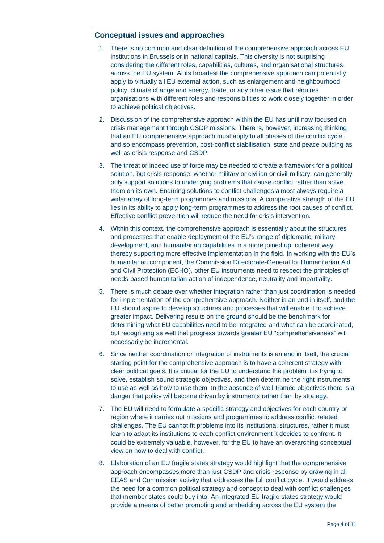### **Conceptual issues and approaches**

- 1. There is no common and clear definition of the comprehensive approach across EU institutions in Brussels or in national capitals. This diversity is not surprising considering the different roles, capabilities, cultures, and organisational structures across the EU system. At its broadest the comprehensive approach can potentially apply to virtually all EU external action, such as enlargement and neighbourhood policy, climate change and energy, trade, or any other issue that requires organisations with different roles and responsibilities to work closely together in order to achieve political objectives.
- 2. Discussion of the comprehensive approach within the EU has until now focused on crisis management through CSDP missions. There is, however, increasing thinking that an EU comprehensive approach must apply to all phases of the conflict cycle, and so encompass prevention, post-conflict stabilisation, state and peace building as well as crisis response and CSDP.
- 3. The threat or indeed use of force may be needed to create a framework for a political solution, but crisis response, whether military or civilian or civil-military, can generally only support solutions to underlying problems that cause conflict rather than solve them on its own. Enduring solutions to conflict challenges almost always require a wider array of long-term programmes and missions. A comparative strength of the EU lies in its ability to apply long-term programmes to address the root causes of conflict. Effective conflict prevention will reduce the need for crisis intervention.
- 4. Within this context, the comprehensive approach is essentially about the structures and processes that enable deployment of the EU's range of diplomatic, military, development, and humanitarian capabilities in a more joined up, coherent way, thereby supporting more effective implementation in the field. In working with the EU's humanitarian component, the Commission Directorate-General for Humanitarian Aid and Civil Protection (ECHO), other EU instruments need to respect the principles of needs-based humanitarian action of independence, neutrality and impartiality.
- 5. There is much debate over whether integration rather than just coordination is needed for implementation of the comprehensive approach. Neither is an end in itself, and the EU should aspire to develop structures and processes that will enable it to achieve greater impact. Delivering results on the ground should be the benchmark for determining what EU capabilities need to be integrated and what can be coordinated, but recognising as well that progress towards greater EU "comprehensiveness" will necessarily be incremental.
- 6. Since neither coordination or integration of instruments is an end in itself, the crucial starting point for the comprehensive approach is to have a coherent strategy with clear political goals. It is critical for the EU to understand the problem it is trying to solve, establish sound strategic objectives, and then determine the right instruments to use as well as how to use them. In the absence of well-framed objectives there is a danger that policy will become driven by instruments rather than by strategy.
- 7. The EU will need to formulate a specific strategy and objectives for each country or region where it carries out missions and programmes to address conflict related challenges. The EU cannot fit problems into its institutional structures, rather it must learn to adapt its institutions to each conflict environment it decides to confront. It could be extremely valuable, however, for the EU to have an overarching conceptual view on how to deal with conflict.
- 8. Elaboration of an EU fragile states strategy would highlight that the comprehensive approach encompasses more than just CSDP and crisis response by drawing in all EEAS and Commission activity that addresses the full conflict cycle. It would address the need for a common political strategy and concept to deal with conflict challenges that member states could buy into. An integrated EU fragile states strategy would provide a means of better promoting and embedding across the EU system the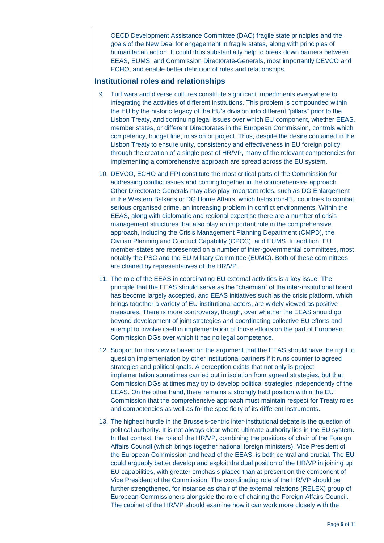OECD Development Assistance Committee (DAC) fragile state principles and the goals of the New Deal for engagement in fragile states, along with principles of humanitarian action. It could thus substantially help to break down barriers between EEAS, EUMS, and Commission Directorate-Generals, most importantly DEVCO and ECHO, and enable better definition of roles and relationships.

#### **Institutional roles and relationships**

- 9. Turf wars and diverse cultures constitute significant impediments everywhere to integrating the activities of different institutions. This problem is compounded within the EU by the historic legacy of the EU's division into different "pillars" prior to the Lisbon Treaty, and continuing legal issues over which EU component, whether EEAS, member states, or different Directorates in the European Commission, controls which competency, budget line, mission or project. Thus, despite the desire contained in the Lisbon Treaty to ensure unity, consistency and effectiveness in EU foreign policy through the creation of a single post of HR/VP, many of the relevant competencies for implementing a comprehensive approach are spread across the EU system.
- 10. DEVCO, ECHO and FPI constitute the most critical parts of the Commission for addressing conflict issues and coming together in the comprehensive approach. Other Directorate-Generals may also play important roles, such as DG Enlargement in the Western Balkans or DG Home Affairs, which helps non-EU countries to combat serious organised crime, an increasing problem in conflict environments. Within the EEAS, along with diplomatic and regional expertise there are a number of crisis management structures that also play an important role in the comprehensive approach, including the Crisis Management Planning Department (CMPD), the Civilian Planning and Conduct Capability (CPCC), and EUMS. In addition, EU member-states are represented on a number of inter-governmental committees, most notably the PSC and the EU Military Committee (EUMC). Both of these committees are chaired by representatives of the HR/VP.
- 11. The role of the EEAS in coordinating EU external activities is a key issue. The principle that the EEAS should serve as the "chairman" of the inter-institutional board has become largely accepted, and EEAS initiatives such as the crisis platform, which brings together a variety of EU institutional actors, are widely viewed as positive measures. There is more controversy, though, over whether the EEAS should go beyond development of joint strategies and coordinating collective EU efforts and attempt to involve itself in implementation of those efforts on the part of European Commission DGs over which it has no legal competence.
- 12. Support for this view is based on the argument that the EEAS should have the right to question implementation by other institutional partners if it runs counter to agreed strategies and political goals. A perception exists that not only is project implementation sometimes carried out in isolation from agreed strategies, but that Commission DGs at times may try to develop political strategies independently of the EEAS. On the other hand, there remains a strongly held position within the EU Commission that the comprehensive approach must maintain respect for Treaty roles and competencies as well as for the specificity of its different instruments.
- 13. The highest hurdle in the Brussels-centric inter-institutional debate is the question of political authority. It is not always clear where ultimate authority lies in the EU system. In that context, the role of the HR/VP, combining the positions of chair of the Foreign Affairs Council (which brings together national foreign ministers), Vice President of the European Commission and head of the EEAS, is both central and crucial. The EU could arguably better develop and exploit the dual position of the HR/VP in joining up EU capabilities, with greater emphasis placed than at present on the component of Vice President of the Commission. The coordinating role of the HR/VP should be further strengthened, for instance as chair of the external relations (RELEX) group of European Commissioners alongside the role of chairing the Foreign Affairs Council. The cabinet of the HR/VP should examine how it can work more closely with the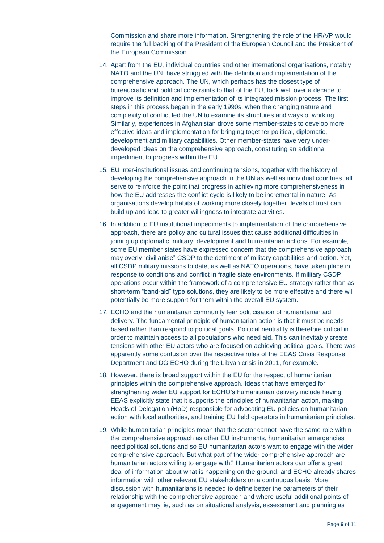Commission and share more information. Strengthening the role of the HR/VP would require the full backing of the President of the European Council and the President of the European Commission.

- 14. Apart from the EU, individual countries and other international organisations, notably NATO and the UN, have struggled with the definition and implementation of the comprehensive approach. The UN, which perhaps has the closest type of bureaucratic and political constraints to that of the EU, took well over a decade to improve its definition and implementation of its integrated mission process. The first steps in this process began in the early 1990s, when the changing nature and complexity of conflict led the UN to examine its structures and ways of working. Similarly, experiences in Afghanistan drove some member-states to develop more effective ideas and implementation for bringing together political, diplomatic, development and military capabilities. Other member-states have very underdeveloped ideas on the comprehensive approach, constituting an additional impediment to progress within the EU.
- 15. EU inter-institutional issues and continuing tensions, together with the history of developing the comprehensive approach in the UN as well as individual countries, all serve to reinforce the point that progress in achieving more comprehensiveness in how the EU addresses the conflict cycle is likely to be incremental in nature. As organisations develop habits of working more closely together, levels of trust can build up and lead to greater willingness to integrate activities.
- 16. In addition to EU institutional impediments to implementation of the comprehensive approach, there are policy and cultural issues that cause additional difficulties in joining up diplomatic, military, development and humanitarian actions. For example, some EU member states have expressed concern that the comprehensive approach may overly "civilianise" CSDP to the detriment of military capabilities and action. Yet, all CSDP military missions to date, as well as NATO operations, have taken place in response to conditions and conflict in fragile state environments. If military CSDP operations occur within the framework of a comprehensive EU strategy rather than as short-term "band-aid" type solutions, they are likely to be more effective and there will potentially be more support for them within the overall EU system.
- 17. ECHO and the humanitarian community fear politicisation of humanitarian aid delivery. The fundamental principle of humanitarian action is that it must be needs based rather than respond to political goals. Political neutrality is therefore critical in order to maintain access to all populations who need aid. This can inevitably create tensions with other EU actors who are focused on achieving political goals. There was apparently some confusion over the respective roles of the EEAS Crisis Response Department and DG ECHO during the Libyan crisis in 2011, for example.
- 18. However, there is broad support within the EU for the respect of humanitarian principles within the comprehensive approach. Ideas that have emerged for strengthening wider EU support for ECHO's humanitarian delivery include having EEAS explicitly state that it supports the principles of humanitarian action, making Heads of Delegation (HoD) responsible for advocating EU policies on humanitarian action with local authorities, and training EU field operators in humanitarian principles.
- 19. While humanitarian principles mean that the sector cannot have the same role within the comprehensive approach as other EU instruments, humanitarian emergencies need political solutions and so EU humanitarian actors want to engage with the wider comprehensive approach. But what part of the wider comprehensive approach are humanitarian actors willing to engage with? Humanitarian actors can offer a great deal of information about what is happening on the ground, and ECHO already shares information with other relevant EU stakeholders on a continuous basis. More discussion with humanitarians is needed to define better the parameters of their relationship with the comprehensive approach and where useful additional points of engagement may lie, such as on situational analysis, assessment and planning as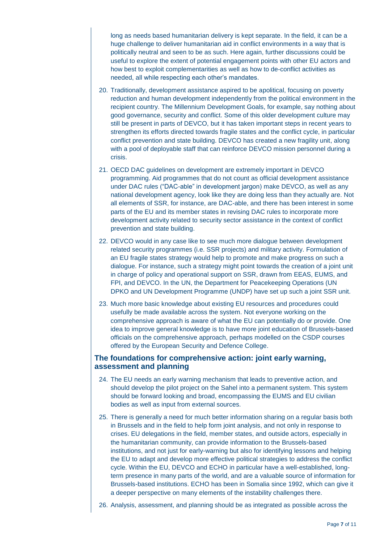long as needs based humanitarian delivery is kept separate. In the field, it can be a huge challenge to deliver humanitarian aid in conflict environments in a way that is politically neutral and seen to be as such. Here again, further discussions could be useful to explore the extent of potential engagement points with other EU actors and how best to exploit complementarities as well as how to de-conflict activities as needed, all while respecting each other's mandates.

- 20. Traditionally, development assistance aspired to be apolitical, focusing on poverty reduction and human development independently from the political environment in the recipient country. The Millennium Development Goals, for example, say nothing about good governance, security and conflict. Some of this older development culture may still be present in parts of DEVCO, but it has taken important steps in recent years to strengthen its efforts directed towards fragile states and the conflict cycle, in particular conflict prevention and state building. DEVCO has created a new fragility unit, along with a pool of deployable staff that can reinforce DEVCO mission personnel during a crisis.
- 21. OECD DAC guidelines on development are extremely important in DEVCO programming. Aid programmes that do not count as official development assistance under DAC rules ("DAC-able" in development jargon) make DEVCO, as well as any national development agency, look like they are doing less than they actually are. Not all elements of SSR, for instance, are DAC-able, and there has been interest in some parts of the EU and its member states in revising DAC rules to incorporate more development activity related to security sector assistance in the context of conflict prevention and state building.
- 22. DEVCO would in any case like to see much more dialogue between development related security programmes (i.e. SSR projects) and military activity. Formulation of an EU fragile states strategy would help to promote and make progress on such a dialogue. For instance, such a strategy might point towards the creation of a joint unit in charge of policy and operational support on SSR, drawn from EEAS, EUMS, and FPI, and DEVCO. In the UN, the Department for Peacekeeping Operations (UN DPKO and UN Development Programme (UNDP) have set up such a joint SSR unit.
- 23. Much more basic knowledge about existing EU resources and procedures could usefully be made available across the system. Not everyone working on the comprehensive approach is aware of what the EU can potentially do or provide. One idea to improve general knowledge is to have more joint education of Brussels-based officials on the comprehensive approach, perhaps modelled on the CSDP courses offered by the European Security and Defence College.

#### **The foundations for comprehensive action: joint early warning, assessment and planning**

- 24. The EU needs an early warning mechanism that leads to preventive action, and should develop the pilot project on the Sahel into a permanent system. This system should be forward looking and broad, encompassing the EUMS and EU civilian bodies as well as input from external sources.
- 25. There is generally a need for much better information sharing on a regular basis both in Brussels and in the field to help form joint analysis, and not only in response to crises. EU delegations in the field, member states, and outside actors, especially in the humanitarian community, can provide information to the Brussels-based institutions, and not just for early-warning but also for identifying lessons and helping the EU to adapt and develop more effective political strategies to address the conflict cycle. Within the EU, DEVCO and ECHO in particular have a well-established, longterm presence in many parts of the world, and are a valuable source of information for Brussels-based institutions. ECHO has been in Somalia since 1992, which can give it a deeper perspective on many elements of the instability challenges there.
- 26. Analysis, assessment, and planning should be as integrated as possible across the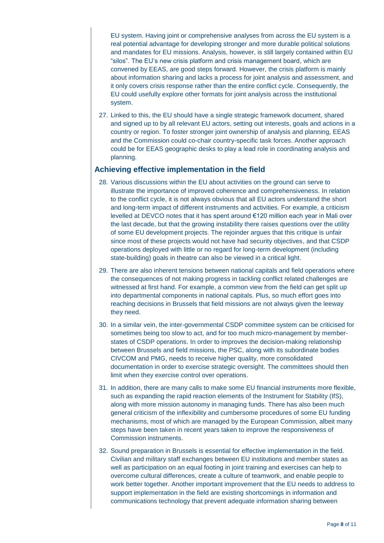EU system. Having joint or comprehensive analyses from across the EU system is a real potential advantage for developing stronger and more durable political solutions and mandates for EU missions. Analysis, however, is still largely contained within EU "silos". The EU's new crisis platform and crisis management board, which are convened by EEAS, are good steps forward. However, the crisis platform is mainly about information sharing and lacks a process for joint analysis and assessment, and it only covers crisis response rather than the entire conflict cycle. Consequently, the EU could usefully explore other formats for joint analysis across the institutional system.

27. Linked to this, the EU should have a single strategic framework document, shared and signed up to by all relevant EU actors, setting out interests, goals and actions in a country or region. To foster stronger joint ownership of analysis and planning, EEAS and the Commission could co-chair country-specific task forces. Another approach could be for EEAS geographic desks to play a lead role in coordinating analysis and planning.

#### **Achieving effective implementation in the field**

- 28. Various discussions within the EU about activities on the ground can serve to illustrate the importance of improved coherence and comprehensiveness. In relation to the conflict cycle, it is not always obvious that all EU actors understand the short and long-term impact of different instruments and activities. For example, a criticism levelled at DEVCO notes that it has spent around €120 million each year in Mali over the last decade, but that the growing instability there raises questions over the utility of some EU development projects. The rejoinder argues that this critique is unfair since most of these projects would not have had security objectives, and that CSDP operations deployed with little or no regard for long-term development (including state-building) goals in theatre can also be viewed in a critical light.
- 29. There are also inherent tensions between national capitals and field operations where the consequences of not making progress in tackling conflict related challenges are witnessed at first hand. For example, a common view from the field can get split up into departmental components in national capitals. Plus, so much effort goes into reaching decisions in Brussels that field missions are not always given the leeway they need.
- 30. In a similar vein, the inter-governmental CSDP committee system can be criticised for sometimes being too slow to act, and for too much micro-management by memberstates of CSDP operations. In order to improves the decision-making relationship between Brussels and field missions, the PSC, along with its subordinate bodies CIVCOM and PMG, needs to receive higher quality, more consolidated documentation in order to exercise strategic oversight. The committees should then limit when they exercise control over operations.
- 31. In addition, there are many calls to make some EU financial instruments more flexible, such as expanding the rapid reaction elements of the Instrument for Stability (IfS), along with more mission autonomy in managing funds. There has also been much general criticism of the inflexibility and cumbersome procedures of some EU funding mechanisms, most of which are managed by the European Commission, albeit many steps have been taken in recent years taken to improve the responsiveness of Commission instruments.
- 32. Sound preparation in Brussels is essential for effective implementation in the field. Civilian and military staff exchanges between EU institutions and member states as well as participation on an equal footing in joint training and exercises can help to overcome cultural differences, create a culture of teamwork, and enable people to work better together. Another important improvement that the EU needs to address to support implementation in the field are existing shortcomings in information and communications technology that prevent adequate information sharing between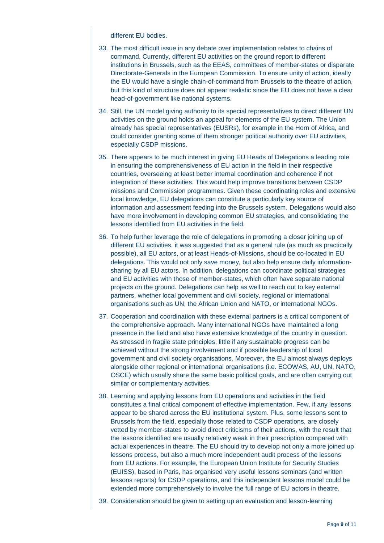#### different EU bodies.

- 33. The most difficult issue in any debate over implementation relates to chains of command. Currently, different EU activities on the ground report to different institutions in Brussels, such as the EEAS, committees of member-states or disparate Directorate-Generals in the European Commission. To ensure unity of action, ideally the EU would have a single chain-of-command from Brussels to the theatre of action, but this kind of structure does not appear realistic since the EU does not have a clear head-of-government like national systems.
- 34. Still, the UN model giving authority to its special representatives to direct different UN activities on the ground holds an appeal for elements of the EU system. The Union already has special representatives (EUSRs), for example in the Horn of Africa, and could consider granting some of them stronger political authority over EU activities, especially CSDP missions.
- 35. There appears to be much interest in giving EU Heads of Delegations a leading role in ensuring the comprehensiveness of EU action in the field in their respective countries, overseeing at least better internal coordination and coherence if not integration of these activities. This would help improve transitions between CSDP missions and Commission programmes. Given these coordinating roles and extensive local knowledge, EU delegations can constitute a particularly key source of information and assessment feeding into the Brussels system. Delegations would also have more involvement in developing common EU strategies, and consolidating the lessons identified from EU activities in the field.
- 36. To help further leverage the role of delegations in promoting a closer joining up of different EU activities, it was suggested that as a general rule (as much as practically possible), all EU actors, or at least Heads-of-Missions, should be co-located in EU delegations. This would not only save money, but also help ensure daily informationsharing by all EU actors. In addition, delegations can coordinate political strategies and EU activities with those of member-states, which often have separate national projects on the ground. Delegations can help as well to reach out to key external partners, whether local government and civil society, regional or international organisations such as UN, the African Union and NATO, or international NGOs.
- 37. Cooperation and coordination with these external partners is a critical component of the comprehensive approach. Many international NGOs have maintained a long presence in the field and also have extensive knowledge of the country in question. As stressed in fragile state principles, little if any sustainable progress can be achieved without the strong involvement and if possible leadership of local government and civil society organisations. Moreover, the EU almost always deploys alongside other regional or international organisations (i.e. ECOWAS, AU, UN, NATO, OSCE) which usually share the same basic political goals, and are often carrying out similar or complementary activities.
- 38. Learning and applying lessons from EU operations and activities in the field constitutes a final critical component of effective implementation. Few, if any lessons appear to be shared across the EU institutional system. Plus, some lessons sent to Brussels from the field, especially those related to CSDP operations, are closely vetted by member-states to avoid direct criticisms of their actions, with the result that the lessons identified are usually relatively weak in their prescription compared with actual experiences in theatre. The EU should try to develop not only a more joined up lessons process, but also a much more independent audit process of the lessons from EU actions. For example, the European Union Institute for Security Studies (EUISS), based in Paris, has organised very useful lessons seminars (and written lessons reports) for CSDP operations, and this independent lessons model could be extended more comprehensively to involve the full range of EU actors in theatre.
- 39. Consideration should be given to setting up an evaluation and lesson-learning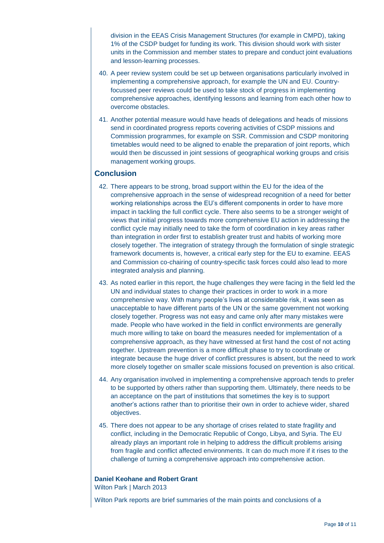division in the EEAS Crisis Management Structures (for example in CMPD), taking 1% of the CSDP budget for funding its work. This division should work with sister units in the Commission and member states to prepare and conduct joint evaluations and lesson-learning processes.

- 40. A peer review system could be set up between organisations particularly involved in implementing a comprehensive approach, for example the UN and EU. Countryfocussed peer reviews could be used to take stock of progress in implementing comprehensive approaches, identifying lessons and learning from each other how to overcome obstacles.
- 41. Another potential measure would have heads of delegations and heads of missions send in coordinated progress reports covering activities of CSDP missions and Commission programmes, for example on SSR. Commission and CSDP monitoring timetables would need to be aligned to enable the preparation of joint reports, which would then be discussed in joint sessions of geographical working groups and crisis management working groups.

#### **Conclusion**

- 42. There appears to be strong, broad support within the EU for the idea of the comprehensive approach in the sense of widespread recognition of a need for better working relationships across the EU's different components in order to have more impact in tackling the full conflict cycle. There also seems to be a stronger weight of views that initial progress towards more comprehensive EU action in addressing the conflict cycle may initially need to take the form of coordination in key areas rather than integration in order first to establish greater trust and habits of working more closely together. The integration of strategy through the formulation of single strategic framework documents is, however, a critical early step for the EU to examine. EEAS and Commission co-chairing of country-specific task forces could also lead to more integrated analysis and planning.
- 43. As noted earlier in this report, the huge challenges they were facing in the field led the UN and individual states to change their practices in order to work in a more comprehensive way. With many people's lives at considerable risk, it was seen as unacceptable to have different parts of the UN or the same government not working closely together. Progress was not easy and came only after many mistakes were made. People who have worked in the field in conflict environments are generally much more willing to take on board the measures needed for implementation of a comprehensive approach, as they have witnessed at first hand the cost of not acting together. Upstream prevention is a more difficult phase to try to coordinate or integrate because the huge driver of conflict pressures is absent, but the need to work more closely together on smaller scale missions focused on prevention is also critical.
- 44. Any organisation involved in implementing a comprehensive approach tends to prefer to be supported by others rather than supporting them. Ultimately, there needs to be an acceptance on the part of institutions that sometimes the key is to support another's actions rather than to prioritise their own in order to achieve wider, shared objectives.
- 45. There does not appear to be any shortage of crises related to state fragility and conflict, including in the Democratic Republic of Congo, Libya, and Syria. The EU already plays an important role in helping to address the difficult problems arising from fragile and conflict affected environments. It can do much more if it rises to the challenge of turning a comprehensive approach into comprehensive action.

## **Daniel Keohane and Robert Grant**

Wilton Park | March 2013

Wilton Park reports are brief summaries of the main points and conclusions of a